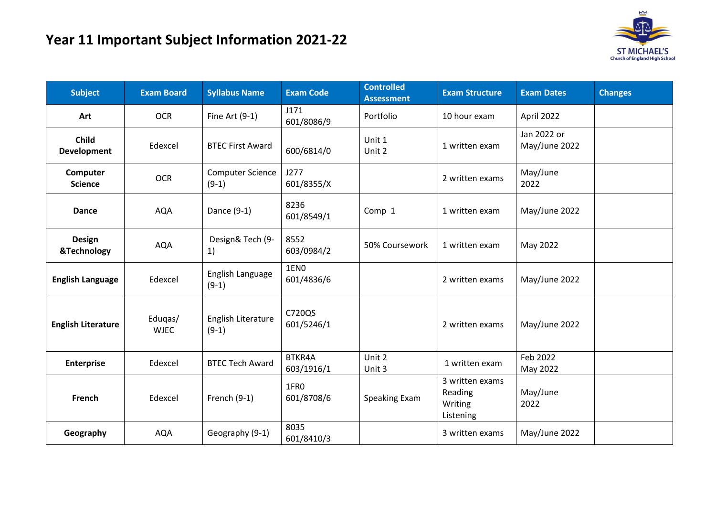

| <b>Subject</b>               | <b>Exam Board</b>      | <b>Syllabus Name</b>               | <b>Exam Code</b>               | <b>Controlled</b><br><b>Assessment</b> | <b>Exam Structure</b>                              | <b>Exam Dates</b>            | <b>Changes</b> |
|------------------------------|------------------------|------------------------------------|--------------------------------|----------------------------------------|----------------------------------------------------|------------------------------|----------------|
| Art                          | <b>OCR</b>             | Fine Art $(9-1)$                   | J171<br>601/8086/9             | Portfolio                              | 10 hour exam                                       | April 2022                   |                |
| <b>Child</b><br>Development  | Edexcel                | <b>BTEC First Award</b>            | 600/6814/0                     | Unit 1<br>Unit 2                       | 1 written exam                                     | Jan 2022 or<br>May/June 2022 |                |
| Computer<br><b>Science</b>   | <b>OCR</b>             | <b>Computer Science</b><br>$(9-1)$ | J277<br>601/8355/X             |                                        | 2 written exams                                    | May/June<br>2022             |                |
| <b>Dance</b>                 | <b>AQA</b>             | Dance (9-1)                        | 8236<br>601/8549/1             | Comp 1                                 | 1 written exam                                     | May/June 2022                |                |
| <b>Design</b><br>&Technology | <b>AQA</b>             | Design& Tech (9-<br>1)             | 8552<br>603/0984/2             | 50% Coursework                         | 1 written exam                                     | May 2022                     |                |
| <b>English Language</b>      | Edexcel                | English Language<br>$(9-1)$        | 1EN <sub>0</sub><br>601/4836/6 |                                        | 2 written exams                                    | May/June 2022                |                |
| <b>English Literature</b>    | Eduqas/<br><b>WJEC</b> | English Literature<br>$(9-1)$      | C720QS<br>601/5246/1           |                                        | 2 written exams                                    | May/June 2022                |                |
| <b>Enterprise</b>            | Edexcel                | <b>BTEC Tech Award</b>             | BTKR4A<br>603/1916/1           | Unit 2<br>Unit 3                       | 1 written exam                                     | Feb 2022<br>May 2022         |                |
| French                       | Edexcel                | French (9-1)                       | 1FRO<br>601/8708/6             | Speaking Exam                          | 3 written exams<br>Reading<br>Writing<br>Listening | May/June<br>2022             |                |
| Geography                    | <b>AQA</b>             | Geography (9-1)                    | 8035<br>601/8410/3             |                                        | 3 written exams                                    | May/June 2022                |                |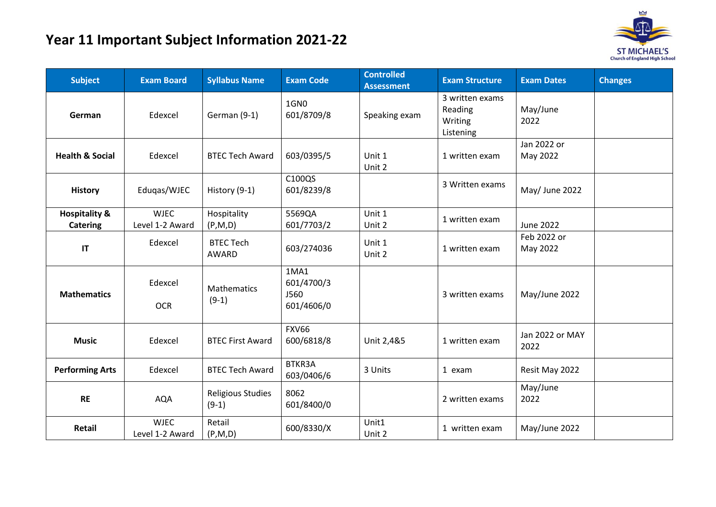## **Year 11 Important Subject Information 2021-22**



| <b>Subject</b>                              | <b>Exam Board</b>              | <b>Syllabus Name</b>                | <b>Exam Code</b>                         | <b>Controlled</b><br><b>Assessment</b> | <b>Exam Structure</b>                              | <b>Exam Dates</b>       | <b>Changes</b> |
|---------------------------------------------|--------------------------------|-------------------------------------|------------------------------------------|----------------------------------------|----------------------------------------------------|-------------------------|----------------|
| German                                      | Edexcel                        | German (9-1)                        | 1GN0<br>601/8709/8                       | Speaking exam                          | 3 written exams<br>Reading<br>Writing<br>Listening | May/June<br>2022        |                |
| <b>Health &amp; Social</b>                  | Edexcel                        | <b>BTEC Tech Award</b>              | 603/0395/5                               | Unit 1<br>Unit 2                       | 1 written exam                                     | Jan 2022 or<br>May 2022 |                |
| <b>History</b>                              | Eduqas/WJEC                    | History (9-1)                       | C100QS<br>601/8239/8                     |                                        | 3 Written exams                                    | May/ June 2022          |                |
| <b>Hospitality &amp;</b><br><b>Catering</b> | <b>WJEC</b><br>Level 1-2 Award | Hospitality<br>(P,M,D)              | 5569QA<br>601/7703/2                     | Unit 1<br>Unit 2                       | 1 written exam                                     | <b>June 2022</b>        |                |
| $\mathsf{I}\mathsf{T}$                      | Edexcel                        | <b>BTEC Tech</b><br><b>AWARD</b>    | 603/274036                               | Unit 1<br>Unit 2                       | 1 written exam                                     | Feb 2022 or<br>May 2022 |                |
| <b>Mathematics</b>                          | Edexcel<br><b>OCR</b>          | Mathematics<br>$(9-1)$              | 1MA1<br>601/4700/3<br>J560<br>601/4606/0 |                                        | 3 written exams                                    | May/June 2022           |                |
| <b>Music</b>                                | Edexcel                        | <b>BTEC First Award</b>             | <b>FXV66</b><br>600/6818/8               | Unit 2,4&5                             | 1 written exam                                     | Jan 2022 or MAY<br>2022 |                |
| <b>Performing Arts</b>                      | Edexcel                        | <b>BTEC Tech Award</b>              | BTKR3A<br>603/0406/6                     | 3 Units                                | 1 exam                                             | Resit May 2022          |                |
| <b>RE</b>                                   | <b>AQA</b>                     | <b>Religious Studies</b><br>$(9-1)$ | 8062<br>601/8400/0                       |                                        | 2 written exams                                    | May/June<br>2022        |                |
| Retail                                      | <b>WJEC</b><br>Level 1-2 Award | Retail<br>(P,M,D)                   | 600/8330/X                               | Unit1<br>Unit 2                        | 1 written exam                                     | May/June 2022           |                |